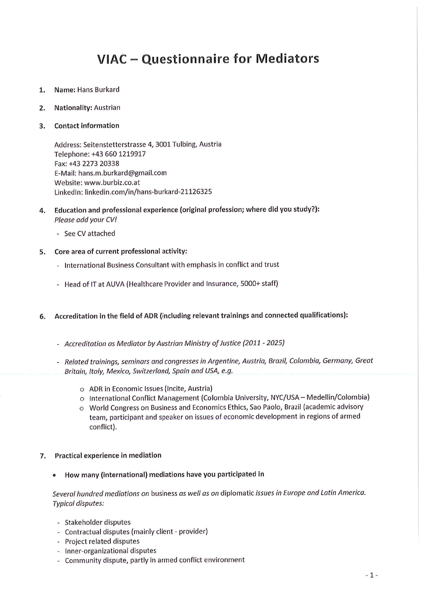# VIAC - Questionnaire for Mediators

- **Name: Hans Burkard** 1.
- **Nationality: Austrian**  $2.$
- **Contact information** 3.

Address: Seitenstetterstrasse 4, 3001 Tulbing, Austria Telephone: +43 660 1219917 Fax: +43 2273 20338 E-Mail: hans.m.burkard@gmail.com Website: www.burbiz.co.at LinkedIn: linkedin.com/in/hans-burkard-21126325

- 4. Education and professional experience (original profession; where did you study?): Please add your CV!
	- See CV attached
- Core area of current professional activity: 5.
	- International Business Consultant with emphasis in conflict and trust
	- Head of IT at AUVA (Healthcare Provider and Insurance, 5000+ staff)
- Accreditation in the field of ADR (including relevant trainings and connected qualifications): 6.
	- Accreditation as Mediator by Austrian Ministry of Justice (2011 2025)
	- Related trainings, seminars and congresses in Argentine, Austria, Brazil, Colombia, Germany, Great Britain, Italy, Mexico, Switzerland, Spain and USA, e.g.
		- O ADR in Economic Issues (Incite, Austria)
		- o International Conflict Management (Colombia University, NYC/USA Medellin/Colombia)
		- O World Congress on Business and Economics Ethics, Sao Paolo, Brazil (academic advisory team, participant and speaker on issues of economic development in regions of armed conflict).
- 7. Practical experience in mediation
	- How many (international) mediations have you participated in

Several hundred mediations on business as well as on diplomatic issues in Europe and Latin America. Typical disputes:

- Stakeholder disputes
- Contractual disputes (mainly client provider)
- Project related disputes
- Inner-organizational disputes
- Community dispute, partly in armed conflict environment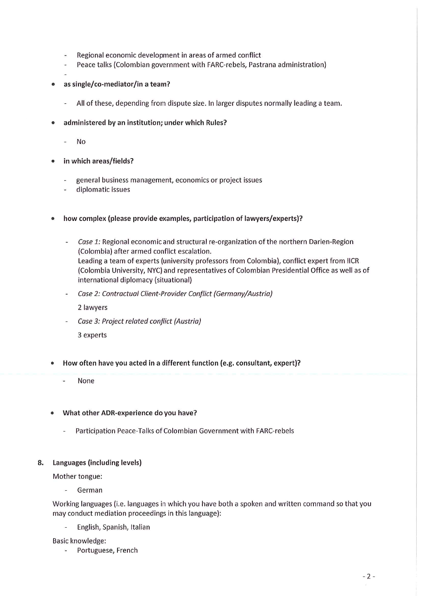- Regional economic development in areas of armed conflict  $\frac{1}{2}$
- Peace talks (Colombian government with FARC-rebels, Pastrana administration) ÷.
- 

 $\bullet$ 

- as single/co-mediator/in a team?
	- All of these, depending from dispute size. In larger disputes normally leading a team.
- administered by an institution; under which Rules?
	- **No**
- in which areas/fields?
	- general business management, economics or project issues  $\ddot{\phantom{a}}$
	- diplomatic issues
- how complex (please provide examples, participation of lawyers/experts)?
	- Case 1: Regional economic and structural re-organization of the northern Darien-Region  $\sim$ (Colombia) after armed conflict escalation. Leading a team of experts (university professors from Colombia), conflict expert from IICR (Colombia University, NYC) and representatives of Colombian Presidential Office as well as of international diplomacy (situational)
	- Case 2: Contractual Client-Provider Conflict (Germany/Austria)

2 lawyers

Case 3: Project related conflict (Austria)

3 experts

- How often have you acted in a different function (e.g. consultant, expert)?
	- None
- What other ADR-experience do you have?
	- Participation Peace-Talks of Colombian Government with FARC-rebels  $\overline{a}$

#### Languages (including levels) 8.

Mother tongue:

German

Working languages (i.e. languages in which you have both a spoken and written command so that you may conduct mediation proceedings in this language):

English, Spanish, Italian

Basic knowledge:

Portuguese, French  $\bar{\omega}$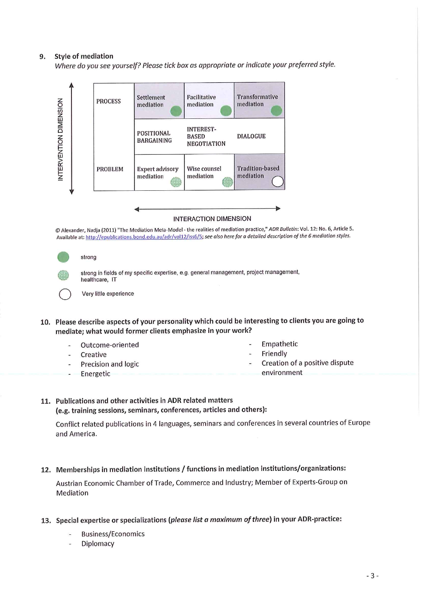#### **Style of mediation** 9.

Where do you see yourself? Please tick box as appropriate or indicate your preferred style.



**INTERACTION DIMENSION** 

© Alexander, Nadja (2011) "The Mediation Meta-Model - the realities of mediation practice," ADR Bulletin: Vol. 12: No. 6, Article 5. Available at: http://epublications.bond.edu.au/adr/vol12/iss6/5; see also here for a detailed description of the 6 mediation styles.

|   | ۹ |
|---|---|
| ï |   |

strong in fields of my specific expertise, e.g. general management, project management, healthcare, IT

Very little experience

- 10. Please describe aspects of your personality which could be interesting to clients you are going to mediate; what would former clients emphasize in your work?
	- Outcome-oriented
	- Creative

strong

- Precision and logic
- Energetic
- Empathetic
- Friendly
- Creation of a positive dispute
- environment

### 11. Publications and other activities in ADR related matters

(e.g. training sessions, seminars, conferences, articles and others):

Conflict related publications in 4 languages, seminars and conferences in several countries of Europe and America.

12. Memberships in mediation institutions / functions in mediation institutions/organizations:

Austrian Economic Chamber of Trade, Commerce and Industry; Member of Experts-Group on Mediation

- 13. Special expertise or specializations (please list a maximum of three) in your ADR-practice:
	- **Business/Economics**
	- Diplomacy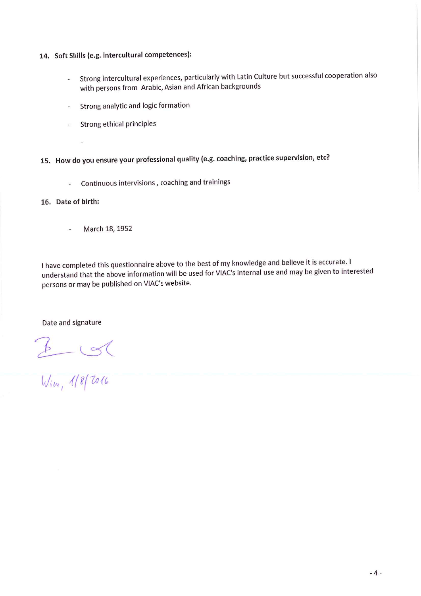- 14. Soft Skills (e.g. intercultural competences):
	- Strong intercultural experiences, particularly with Latin Culture but successful cooperation also  $\omega$ with persons from Arabic, Asian and African backgrounds
	- Strong analytic and logic formation  $\overline{a}$
	- Strong ethical principles
		-

15. How do you ensure your professional quality (e.g. coaching, practice supervision, etc?

Continuous intervisions, coaching and trainings  $\overline{a}$ 

16. Date of birth:

March 18, 1952  $\overline{a}$ 

I have completed this questionnaire above to the best of my knowledge and believe it is accurate. I understand that the above information will be used for VIAC's internal use and may be given to interested persons or may be published on VIAC's website.

Date and signature

 $2000$ <br>Wim, 1/8/2016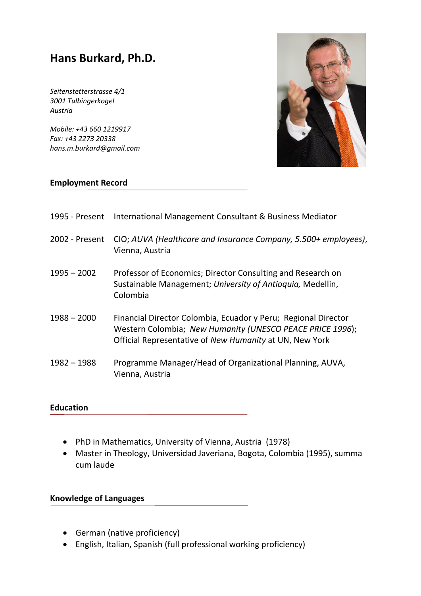## **Hans Burkard, Ph.D.**

*Seitenstetterstrasse 4/1 3001 Tulbingerkogel Austria*

*Mobile: +43 660 1219917 Fax: +43 2273 20338 hans.m.burkard@gmail.com*



#### **Employment Record**

| 1995 - Present | International Management Consultant & Business Mediator                                                                                                                                |
|----------------|----------------------------------------------------------------------------------------------------------------------------------------------------------------------------------------|
| 2002 - Present | CIO; AUVA (Healthcare and Insurance Company, 5.500+ employees),<br>Vienna, Austria                                                                                                     |
| $1995 - 2002$  | Professor of Economics; Director Consulting and Research on<br>Sustainable Management; University of Antioquia, Medellin,<br>Colombia                                                  |
| $1988 - 2000$  | Financial Director Colombia, Ecuador y Peru; Regional Director<br>Western Colombia; New Humanity (UNESCO PEACE PRICE 1996);<br>Official Representative of New Humanity at UN, New York |
| 1982 - 1988    | Programme Manager/Head of Organizational Planning, AUVA,<br>Vienna, Austria                                                                                                            |

#### **Education**

- PhD in Mathematics, University of Vienna, Austria (1978)
- Master in Theology, Universidad Javeriana, Bogota, Colombia (1995), summa cum laude

### **Knowledge of Languages**

- German (native proficiency)
- English, Italian, Spanish (full professional working proficiency)